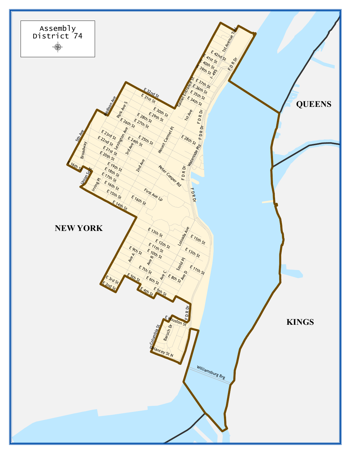